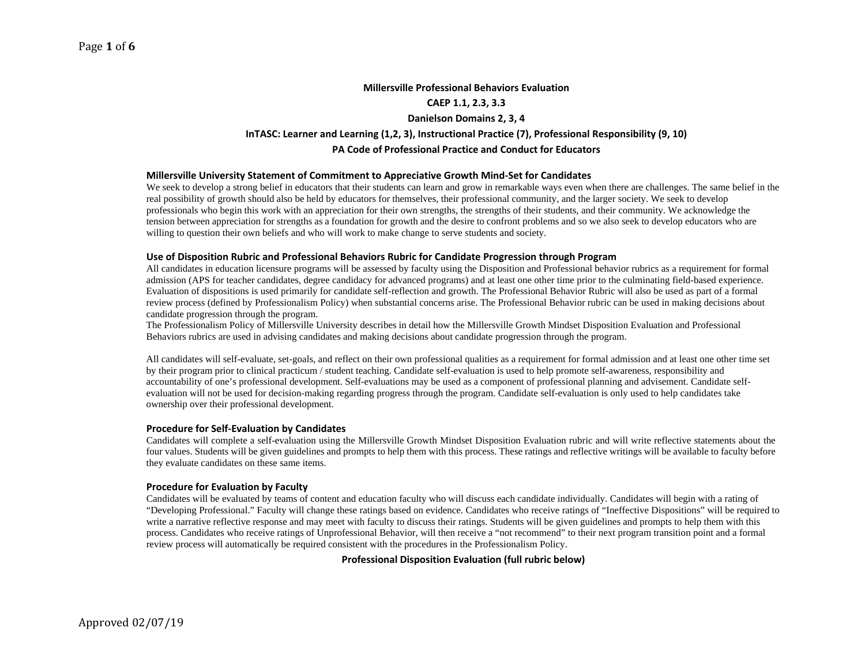## **Millersville Professional Behaviors Evaluation**

#### **CAEP 1.1, 2.3, 3.3**

## **Danielson Domains 2, 3, 4**

# **InTASC: Learner and Learning (1,2, 3), Instructional Practice (7), Professional Responsibility (9, 10)**

#### **PA Code of Professional Practice and Conduct for Educators**

#### **Millersville University Statement of Commitment to Appreciative Growth Mind‐Set for Candidates**

We seek to develop a strong belief in educators that their students can learn and grow in remarkable ways even when there are challenges. The same belief in the real possibility of growth should also be held by educators for themselves, their professional community, and the larger society. We seek to develop professionals who begin this work with an appreciation for their own strengths, the strengths of their students, and their community. We acknowledge the tension between appreciation for strengths as a foundation for growth and the desire to confront problems and so we also seek to develop educators who are willing to question their own beliefs and who will work to make change to serve students and society.

#### **Use of Disposition Rubric and Professional Behaviors Rubric for Candidate Progression through Program**

All candidates in education licensure programs will be assessed by faculty using the Disposition and Professional behavior rubrics as a requirement for formal admission (APS for teacher candidates, degree candidacy for advanced programs) and at least one other time prior to the culminating field-based experience. Evaluation of dispositions is used primarily for candidate self-reflection and growth. The Professional Behavior Rubric will also be used as part of a formal review process (defined by Professionalism Policy) when substantial concerns arise. The Professional Behavior rubric can be used in making decisions about candidate progression through the program.

The Professionalism Policy of Millersville University describes in detail how the Millersville Growth Mindset Disposition Evaluation and Professional Behaviors rubrics are used in advising candidates and making decisions about candidate progression through the program.

All candidates will self-evaluate, set-goals, and reflect on their own professional qualities as a requirement for formal admission and at least one other time set by their program prior to clinical practicum / student teaching. Candidate self-evaluation is used to help promote self-awareness, responsibility and accountability of one's professional development. Self-evaluations may be used as a component of professional planning and advisement. Candidate selfevaluation will not be used for decision-making regarding progress through the program. Candidate self-evaluation is only used to help candidates take ownership over their professional development.

#### **Procedure for Self‐Evaluation by Candidates**

Candidates will complete a self-evaluation using the Millersville Growth Mindset Disposition Evaluation rubric and will write reflective statements about the four values. Students will be given guidelines and prompts to help them with this process. These ratings and reflective writings will be available to faculty before they evaluate candidates on these same items.

## **Procedure for Evaluation by Faculty**

Candidates will be evaluated by teams of content and education faculty who will discuss each candidate individually. Candidates will begin with a rating of "Developing Professional." Faculty will change these ratings based on evidence. Candidates who receive ratings of "Ineffective Dispositions" will be required to write a narrative reflective response and may meet with faculty to discuss their ratings. Students will be given guidelines and prompts to help them with this process. Candidates who receive ratings of Unprofessional Behavior, will then receive a "not recommend" to their next program transition point and a formal review process will automatically be required consistent with the procedures in the Professionalism Policy.

## **Professional Disposition Evaluation (full rubric below)**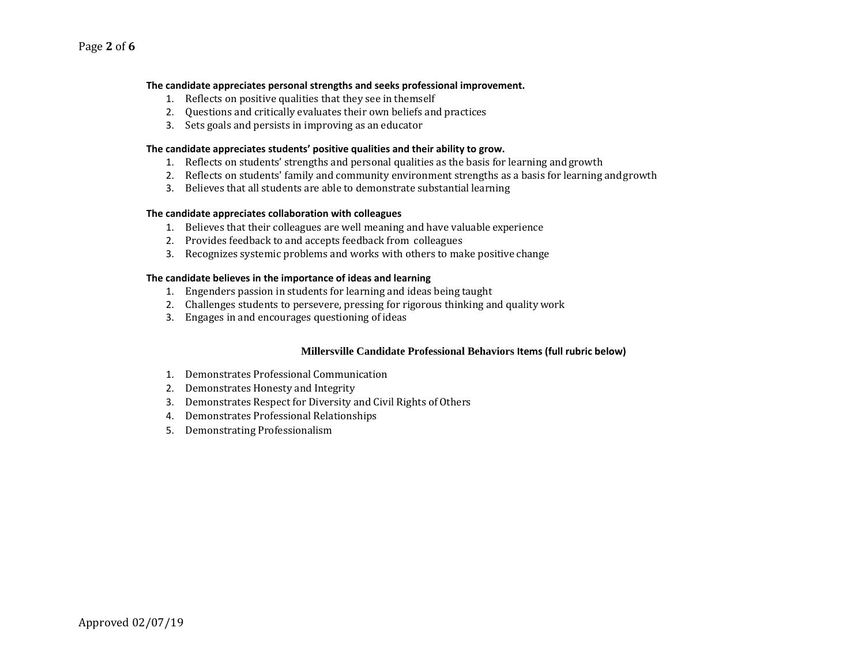## **The candidate appreciates personal strengths and seeks professional improvement.**

- 1. Reflects on positive qualities that they see in themself
- 2. Questions and critically evaluates their own beliefs and practices
- 3. Sets goals and persists in improving as an educator

## **The candidate appreciates students' positive qualities and their ability to grow.**

- 1. Reflects on students' strengths and personal qualities as the basis for learning and growth
- 2. Reflects on students' family and community environment strengths as a basis for learning and growth
- 3. Believes that all students are able to demonstrate substantial learning

## **The candidate appreciates collaboration with colleagues**

- 1. Believes that their colleagues are well meaning and have valuable experience
- 2. Provides feedback to and accepts feedback from colleagues
- 3. Recognizes systemic problems and works with others to make positive change

## **The candidate believes in the importance of ideas and learning**

- 1. Engenders passion in students for learning and ideas being taught
- 2. Challenges students to persevere, pressing for rigorous thinking and quality work
- 3. Engages in and encourages questioning of ideas

## **Millersville Candidate Professional Behaviors Items (full rubric below)**

- 1. Demonstrates Professional Communication
- 2. Demonstrates Honesty and Integrity
- 3. Demonstrates Respect for Diversity and Civil Rights of Others
- 4. Demonstrates Professional Relationships
- 5. Demonstrating Professionalism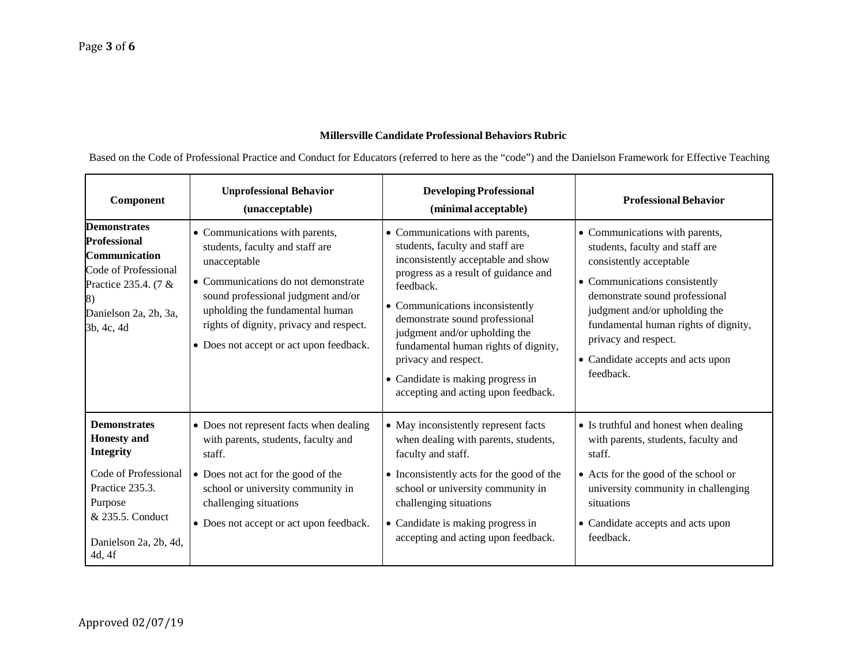# **Millersville Candidate Professional Behaviors Rubric**

Based on the Code of Professional Practice and Conduct for Educators (referred to here as the "code") and the Danielson Framework for Effective Teaching

| Component                                                                                                                                                                  | <b>Unprofessional Behavior</b><br>(unacceptable)                                                                                                                                                                                                                                        | <b>Developing Professional</b><br>(minimal acceptable)                                                                                                                                                                                                                                                                                                                                                         | <b>Professional Behavior</b>                                                                                                                                                                                                                                                                                       |
|----------------------------------------------------------------------------------------------------------------------------------------------------------------------------|-----------------------------------------------------------------------------------------------------------------------------------------------------------------------------------------------------------------------------------------------------------------------------------------|----------------------------------------------------------------------------------------------------------------------------------------------------------------------------------------------------------------------------------------------------------------------------------------------------------------------------------------------------------------------------------------------------------------|--------------------------------------------------------------------------------------------------------------------------------------------------------------------------------------------------------------------------------------------------------------------------------------------------------------------|
| <b>Demonstrates</b><br><b>Professional</b><br>Communication<br>Code of Professional<br>Practice 235.4. (7 &<br>Danielson 2a, 2b, 3a,<br>3b, 4c, 4d                         | • Communications with parents,<br>students, faculty and staff are<br>unacceptable<br>• Communications do not demonstrate<br>sound professional judgment and/or<br>upholding the fundamental human<br>rights of dignity, privacy and respect.<br>• Does not accept or act upon feedback. | • Communications with parents,<br>students, faculty and staff are<br>inconsistently acceptable and show<br>progress as a result of guidance and<br>feedback.<br>• Communications inconsistently<br>demonstrate sound professional<br>judgment and/or upholding the<br>fundamental human rights of dignity,<br>privacy and respect.<br>• Candidate is making progress in<br>accepting and acting upon feedback. | • Communications with parents,<br>students, faculty and staff are<br>consistently acceptable<br>• Communications consistently<br>demonstrate sound professional<br>judgment and/or upholding the<br>fundamental human rights of dignity,<br>privacy and respect.<br>• Candidate accepts and acts upon<br>feedback. |
| <b>Demonstrates</b><br><b>Honesty</b> and<br><b>Integrity</b><br>Code of Professional<br>Practice 235.3.<br>Purpose<br>& 235.5. Conduct<br>Danielson 2a, 2b, 4d,<br>4d, 4f | • Does not represent facts when dealing<br>with parents, students, faculty and<br>staff.<br>• Does not act for the good of the<br>school or university community in<br>challenging situations<br>• Does not accept or act upon feedback.                                                | • May inconsistently represent facts<br>when dealing with parents, students,<br>faculty and staff.<br>• Inconsistently acts for the good of the<br>school or university community in<br>challenging situations<br>• Candidate is making progress in<br>accepting and acting upon feedback.                                                                                                                     | • Is truthful and honest when dealing<br>with parents, students, faculty and<br>staff.<br>• Acts for the good of the school or<br>university community in challenging<br>situations<br>• Candidate accepts and acts upon<br>feedback.                                                                              |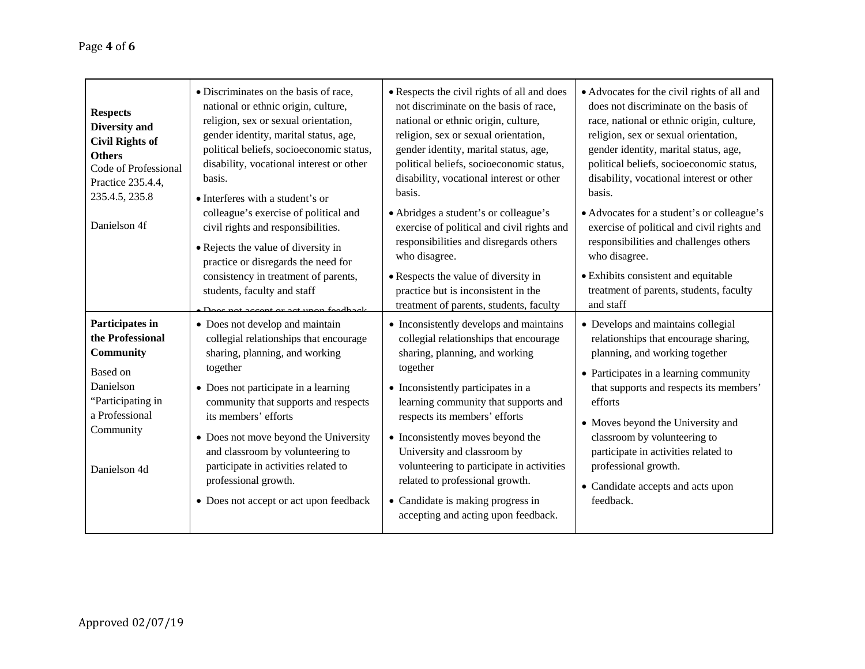| <b>Respects</b><br>Diversity and<br><b>Civil Rights of</b><br><b>Others</b><br>Code of Professional<br>Practice 235.4.4,<br>235.4.5, 235.8<br>Danielson 4f | • Discriminates on the basis of race,<br>national or ethnic origin, culture,<br>religion, sex or sexual orientation,<br>gender identity, marital status, age,<br>political beliefs, socioeconomic status,<br>disability, vocational interest or other<br>basis.<br>• Interferes with a student's or<br>colleague's exercise of political and<br>civil rights and responsibilities.<br>• Rejects the value of diversity in<br>practice or disregards the need for<br>consistency in treatment of parents,<br>students, faculty and staff | • Respects the civil rights of all and does<br>not discriminate on the basis of race,<br>national or ethnic origin, culture,<br>religion, sex or sexual orientation,<br>gender identity, marital status, age,<br>political beliefs, socioeconomic status,<br>disability, vocational interest or other<br>basis.<br>• Abridges a student's or colleague's<br>exercise of political and civil rights and<br>responsibilities and disregards others<br>who disagree.<br>• Respects the value of diversity in<br>practice but is inconsistent in the<br>treatment of parents, students, faculty | • Advocates for the civil rights of all and<br>does not discriminate on the basis of<br>race, national or ethnic origin, culture,<br>religion, sex or sexual orientation,<br>gender identity, marital status, age,<br>political beliefs, socioeconomic status,<br>disability, vocational interest or other<br>basis.<br>• Advocates for a student's or colleague's<br>exercise of political and civil rights and<br>responsibilities and challenges others<br>who disagree.<br>· Exhibits consistent and equitable<br>treatment of parents, students, faculty<br>and staff |
|------------------------------------------------------------------------------------------------------------------------------------------------------------|-----------------------------------------------------------------------------------------------------------------------------------------------------------------------------------------------------------------------------------------------------------------------------------------------------------------------------------------------------------------------------------------------------------------------------------------------------------------------------------------------------------------------------------------|---------------------------------------------------------------------------------------------------------------------------------------------------------------------------------------------------------------------------------------------------------------------------------------------------------------------------------------------------------------------------------------------------------------------------------------------------------------------------------------------------------------------------------------------------------------------------------------------|----------------------------------------------------------------------------------------------------------------------------------------------------------------------------------------------------------------------------------------------------------------------------------------------------------------------------------------------------------------------------------------------------------------------------------------------------------------------------------------------------------------------------------------------------------------------------|
| Participates in<br>the Professional<br>Community<br>Based on<br>Danielson<br>"Participating in<br>a Professional<br>Community<br>Danielson 4d              | • Does not develop and maintain<br>collegial relationships that encourage<br>sharing, planning, and working<br>together<br>• Does not participate in a learning<br>community that supports and respects<br>its members' efforts<br>• Does not move beyond the University<br>and classroom by volunteering to<br>participate in activities related to<br>professional growth.<br>• Does not accept or act upon feedback                                                                                                                  | • Inconsistently develops and maintains<br>collegial relationships that encourage<br>sharing, planning, and working<br>together<br>• Inconsistently participates in a<br>learning community that supports and<br>respects its members' efforts<br>• Inconsistently moves beyond the<br>University and classroom by<br>volunteering to participate in activities<br>related to professional growth.<br>• Candidate is making progress in<br>accepting and acting upon feedback.                                                                                                              | • Develops and maintains collegial<br>relationships that encourage sharing,<br>planning, and working together<br>• Participates in a learning community<br>that supports and respects its members'<br>efforts<br>• Moves beyond the University and<br>classroom by volunteering to<br>participate in activities related to<br>professional growth.<br>• Candidate accepts and acts upon<br>feedback.                                                                                                                                                                       |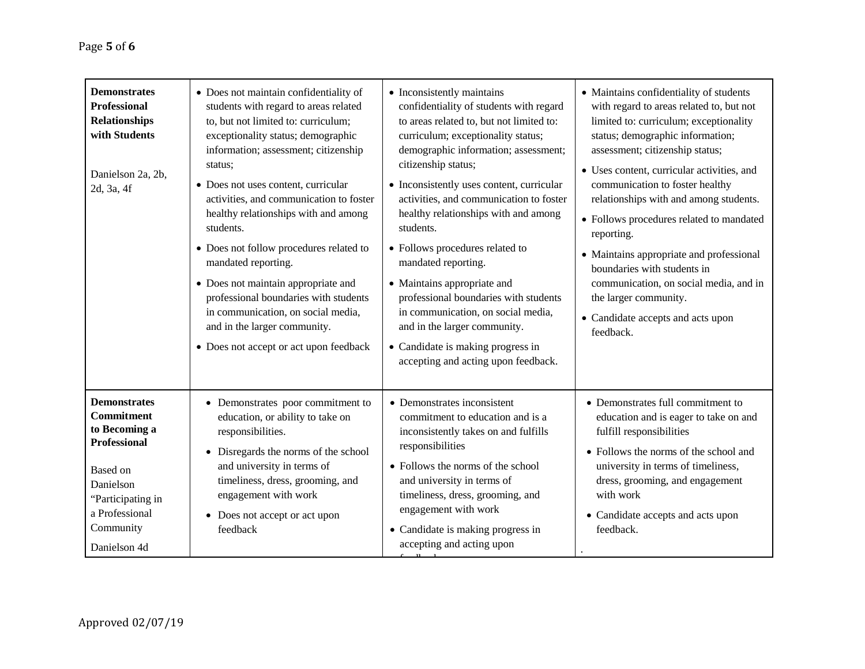| <b>Demonstrates</b><br><b>Professional</b><br><b>Relationships</b><br>with Students<br>Danielson 2a, 2b,<br>2d, 3a, 4f                                                        | • Does not maintain confidentiality of<br>students with regard to areas related<br>to, but not limited to: curriculum;<br>exceptionality status; demographic<br>information; assessment; citizenship<br>status:<br>• Does not uses content, curricular<br>activities, and communication to foster<br>healthy relationships with and among<br>students.<br>• Does not follow procedures related to<br>mandated reporting.<br>• Does not maintain appropriate and<br>professional boundaries with students<br>in communication, on social media,<br>and in the larger community.<br>• Does not accept or act upon feedback | • Inconsistently maintains<br>confidentiality of students with regard<br>to areas related to, but not limited to:<br>curriculum; exceptionality status;<br>demographic information; assessment;<br>citizenship status;<br>• Inconsistently uses content, curricular<br>activities, and communication to foster<br>healthy relationships with and among<br>students.<br>• Follows procedures related to<br>mandated reporting.<br>• Maintains appropriate and<br>professional boundaries with students<br>in communication, on social media,<br>and in the larger community.<br>• Candidate is making progress in<br>accepting and acting upon feedback. | • Maintains confidentiality of students<br>with regard to areas related to, but not<br>limited to: curriculum; exceptionality<br>status; demographic information;<br>assessment; citizenship status;<br>• Uses content, curricular activities, and<br>communication to foster healthy<br>relationships with and among students.<br>• Follows procedures related to mandated<br>reporting.<br>• Maintains appropriate and professional<br>boundaries with students in<br>communication, on social media, and in<br>the larger community.<br>• Candidate accepts and acts upon<br>feedback. |
|-------------------------------------------------------------------------------------------------------------------------------------------------------------------------------|--------------------------------------------------------------------------------------------------------------------------------------------------------------------------------------------------------------------------------------------------------------------------------------------------------------------------------------------------------------------------------------------------------------------------------------------------------------------------------------------------------------------------------------------------------------------------------------------------------------------------|---------------------------------------------------------------------------------------------------------------------------------------------------------------------------------------------------------------------------------------------------------------------------------------------------------------------------------------------------------------------------------------------------------------------------------------------------------------------------------------------------------------------------------------------------------------------------------------------------------------------------------------------------------|-------------------------------------------------------------------------------------------------------------------------------------------------------------------------------------------------------------------------------------------------------------------------------------------------------------------------------------------------------------------------------------------------------------------------------------------------------------------------------------------------------------------------------------------------------------------------------------------|
| <b>Demonstrates</b><br><b>Commitment</b><br>to Becoming a<br><b>Professional</b><br>Based on<br>Danielson<br>"Participating in<br>a Professional<br>Community<br>Danielson 4d | • Demonstrates poor commitment to<br>education, or ability to take on<br>responsibilities.<br>• Disregards the norms of the school<br>and university in terms of<br>timeliness, dress, grooming, and<br>engagement with work<br>• Does not accept or act upon<br>feedback                                                                                                                                                                                                                                                                                                                                                | • Demonstrates inconsistent<br>commitment to education and is a<br>inconsistently takes on and fulfills<br>responsibilities<br>• Follows the norms of the school<br>and university in terms of<br>timeliness, dress, grooming, and<br>engagement with work<br>• Candidate is making progress in<br>accepting and acting upon                                                                                                                                                                                                                                                                                                                            | • Demonstrates full commitment to<br>education and is eager to take on and<br>fulfill responsibilities<br>• Follows the norms of the school and<br>university in terms of timeliness,<br>dress, grooming, and engagement<br>with work<br>• Candidate accepts and acts upon<br>feedback.                                                                                                                                                                                                                                                                                                   |